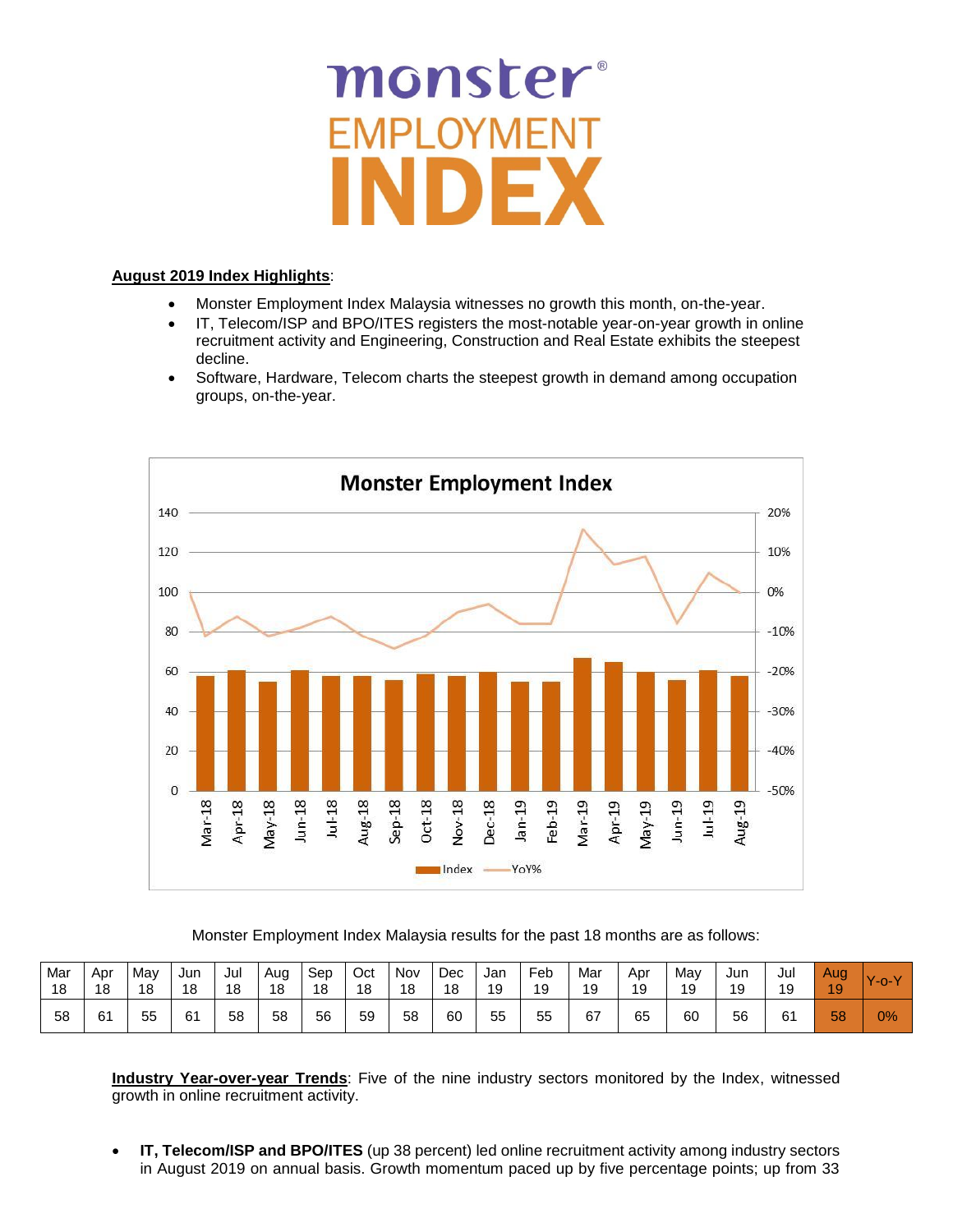

## **August 2019 Index Highlights**:

- Monster Employment Index Malaysia witnesses no growth this month, on-the-year.
- IT, Telecom/ISP and BPO/ITES registers the most-notable year-on-year growth in online recruitment activity and Engineering, Construction and Real Estate exhibits the steepest decline.
- Software, Hardware, Telecom charts the steepest growth in demand among occupation groups, on-the-year.



Monster Employment Index Malaysia results for the past 18 months are as follows:

| Mar | Apr | May | Jun | Jul | Aug | Sep | Oct | Nov | Dec | Jan | Feb | Mar | Apr | May | Jun | Jul | Aug | $4 - 0 - V$ |
|-----|-----|-----|-----|-----|-----|-----|-----|-----|-----|-----|-----|-----|-----|-----|-----|-----|-----|-------------|
| 18  | 18  | 18  | 18  | 18  | 18  | 18  | 18  | 18  | 18  | 19  | 19  | 19  | 19  | 19  | 19  | 19  | 19  |             |
| 58  | 61  | 55  | 61  | 58  | 58  | 56  | 59  | 58  | 60  | 55  | 55  | 67  | 65  | 60  | 56  | 61  | 58  | 0%          |

**Industry Year-over-year Trends**: Five of the nine industry sectors monitored by the Index, witnessed growth in online recruitment activity.

• **IT, Telecom/ISP and BPO/ITES** (up 38 percent) led online recruitment activity among industry sectors in August 2019 on annual basis. Growth momentum paced up by five percentage points; up from 33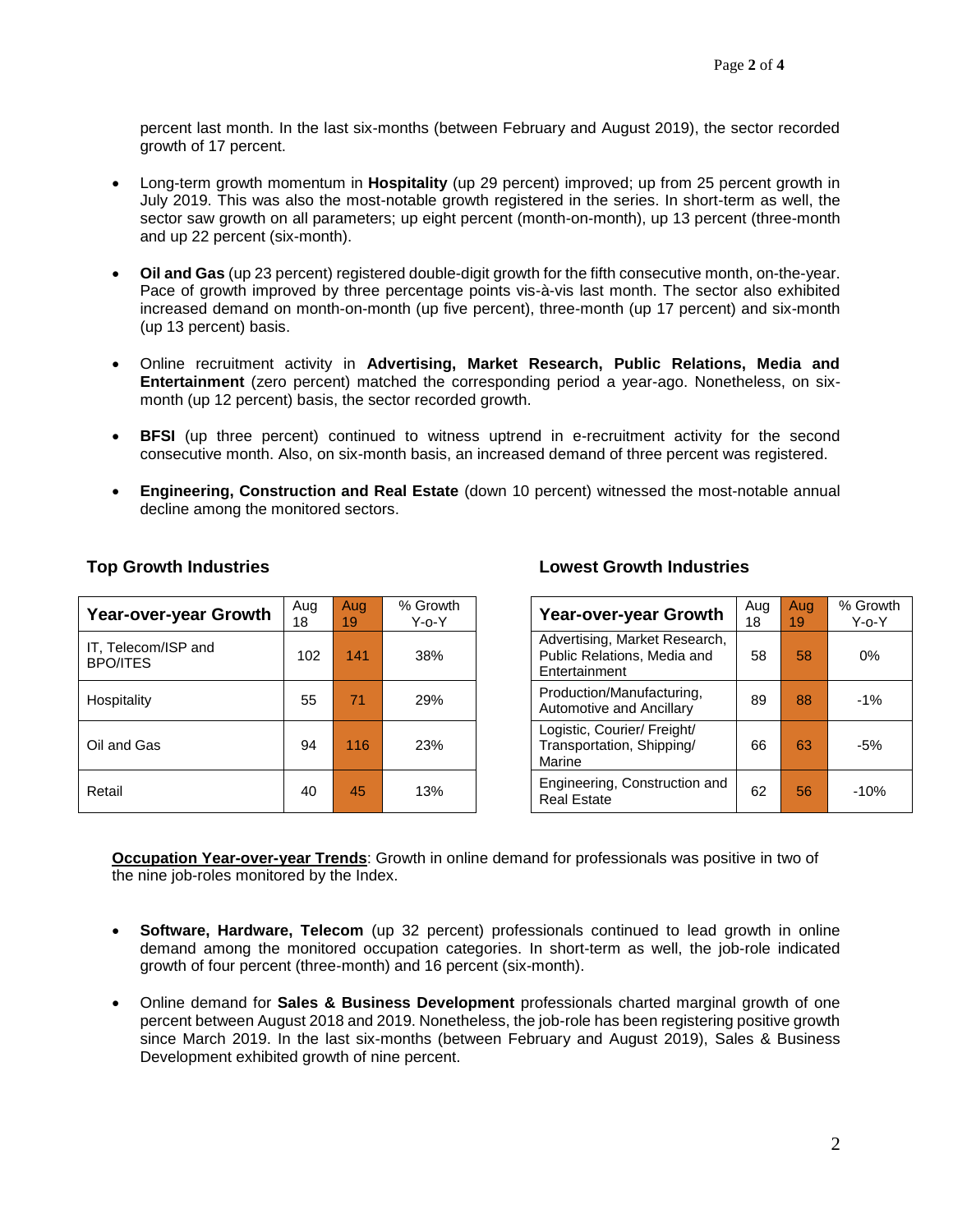percent last month. In the last six-months (between February and August 2019), the sector recorded growth of 17 percent.

- Long-term growth momentum in **Hospitality** (up 29 percent) improved; up from 25 percent growth in July 2019. This was also the most-notable growth registered in the series. In short-term as well, the sector saw growth on all parameters; up eight percent (month-on-month), up 13 percent (three-month and up 22 percent (six-month).
- **Oil and Gas** (up 23 percent) registered double-digit growth for the fifth consecutive month, on-the-year. Pace of growth improved by three percentage points vis-à-vis last month. The sector also exhibited increased demand on month-on-month (up five percent), three-month (up 17 percent) and six-month (up 13 percent) basis.
- Online recruitment activity in **Advertising, Market Research, Public Relations, Media and Entertainment** (zero percent) matched the corresponding period a year-ago. Nonetheless, on sixmonth (up 12 percent) basis, the sector recorded growth.
- **BFSI** (up three percent) continued to witness uptrend in e-recruitment activity for the second consecutive month. Also, on six-month basis, an increased demand of three percent was registered.
- **Engineering, Construction and Real Estate** (down 10 percent) witnessed the most-notable annual decline among the monitored sectors.

| Year-over-year Growth                  | Aug<br>18 | Aug<br>19 | % Growth<br>Y-o-Y | <b>Year-over-year Growth</b>                                                  |
|----------------------------------------|-----------|-----------|-------------------|-------------------------------------------------------------------------------|
| IT, Telecom/ISP and<br><b>BPO/ITES</b> | 102       | 141       | 38%               | Advertising, Market Research,<br>Public Relations, Media and<br>Entertainment |
| Hospitality                            | 55        | 71        | 29%               | Production/Manufacturing,<br>Automotive and Ancillary                         |
| Oil and Gas                            | 94        | 116       | 23%               | Logistic, Courier/ Freight/<br>Transportation, Shipping/<br>Marine            |
| Retail                                 | 40        | 45        | 13%               | Engineering, Construction and<br><b>Real Estate</b>                           |

## **Top Growth Industries Lowest Growth Industries**

| Year-over-year Growth                                                         | Aug<br>18 | Aug<br>19 | % Growth<br>Y-o-Y |
|-------------------------------------------------------------------------------|-----------|-----------|-------------------|
| Advertising, Market Research,<br>Public Relations, Media and<br>Entertainment | 58        | 58        | 0%                |
| Production/Manufacturing,<br>Automotive and Ancillary                         | 89        | 88        | $-1\%$            |
| Logistic, Courier/ Freight/<br>Transportation, Shipping/<br>Marine            | 66        | 63        | $-5%$             |
| Engineering, Construction and<br><b>Real Estate</b>                           | 62        | 56        | $-10%$            |

**Occupation Year-over-year Trends**: Growth in online demand for professionals was positive in two of the nine job-roles monitored by the Index.

- **Software, Hardware, Telecom** (up 32 percent) professionals continued to lead growth in online demand among the monitored occupation categories. In short-term as well, the job-role indicated growth of four percent (three-month) and 16 percent (six-month).
- Online demand for **Sales & Business Development** professionals charted marginal growth of one percent between August 2018 and 2019. Nonetheless, the job-role has been registering positive growth since March 2019. In the last six-months (between February and August 2019), Sales & Business Development exhibited growth of nine percent.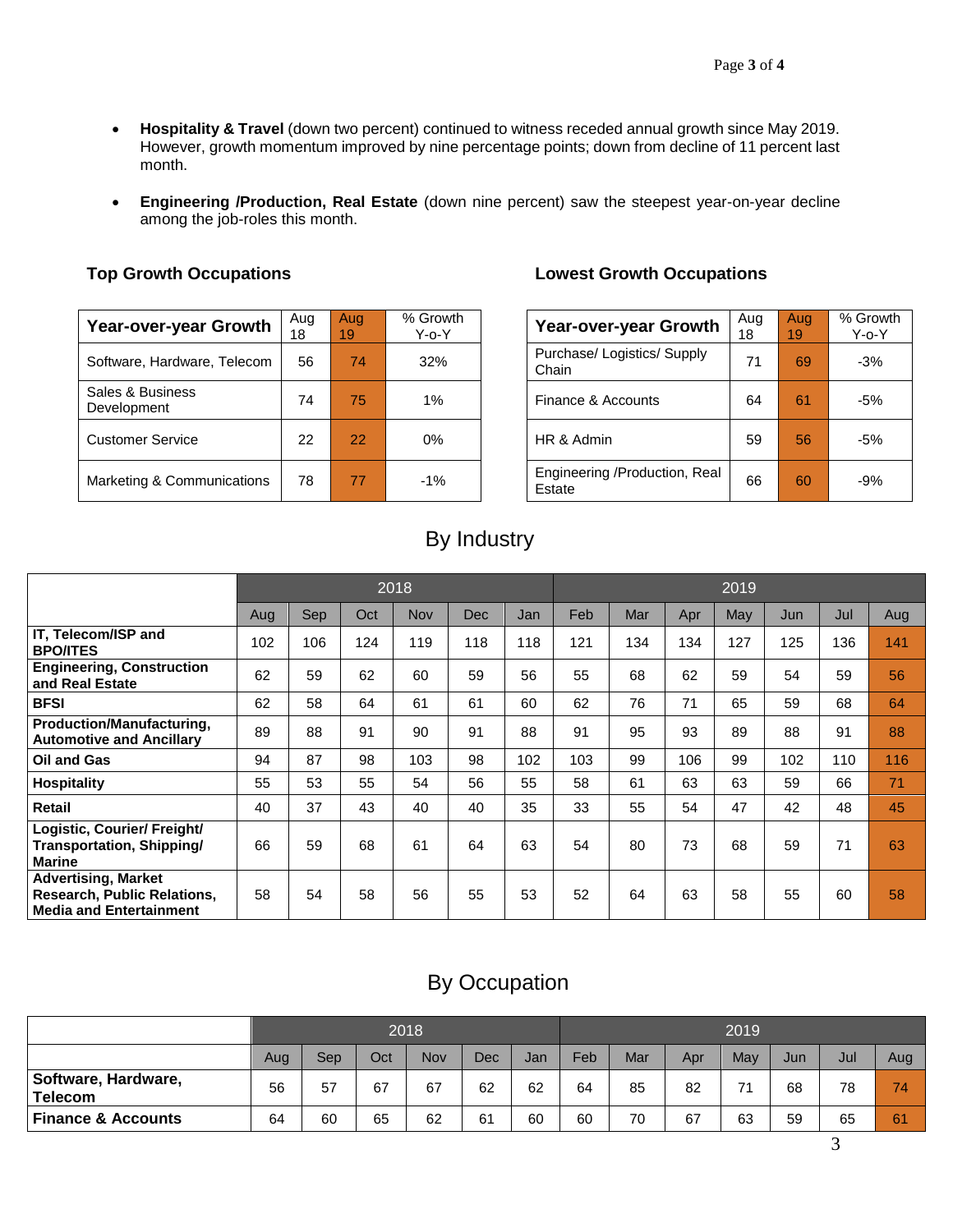- **Hospitality & Travel** (down two percent) continued to witness receded annual growth since May 2019. However, growth momentum improved by nine percentage points; down from decline of 11 percent last month.
- **Engineering /Production, Real Estate** (down nine percent) saw the steepest year-on-year decline among the job-roles this month.

| Year-over-year Growth           | Aug<br>18 | Aug<br>19 | % Growth<br>$Y$ -o- $Y$ | Year-over-year Growth                   | Aug<br>18 | Aug<br>19 | $%$ Gro<br>Y-o-` |
|---------------------------------|-----------|-----------|-------------------------|-----------------------------------------|-----------|-----------|------------------|
| Software, Hardware, Telecom     | 56        | 74        | 32%                     | Purchase/ Logistics/ Supply<br>Chain    | 71        | 69        | $-3%$            |
| Sales & Business<br>Development | 74        | 75        | 1%                      | Finance & Accounts                      | 64        | 61        | $-5%$            |
| <b>Customer Service</b>         | 22        | 22        | $0\%$                   | HR & Admin                              | 59        | 56        | $-5%$            |
| Marketing & Communications      | 78        | 77        | $-1\%$                  | Engineering /Production, Real<br>Estate | 66        | 60        | $-9%$            |

## **Top Growth Occupations Lowest Growth Occupations**

| Year-over-year Growth                   | Aug<br>18 | Aug<br>19 | % Growth<br>$Y$ -o- $Y$ |
|-----------------------------------------|-----------|-----------|-------------------------|
| Purchase/Logistics/Supply<br>Chain      | 71        | 69        | $-3%$                   |
| Finance & Accounts                      | 64        | 61        | $-5%$                   |
| HR & Admin                              | 59        | 56        | $-5%$                   |
| Engineering /Production, Real<br>Estate | 66        | 60        | $-9%$                   |

## By Industry

|                                                                                                    |     |     |     | 2018       |     |     | 2019 |     |     |     |     |     |     |  |
|----------------------------------------------------------------------------------------------------|-----|-----|-----|------------|-----|-----|------|-----|-----|-----|-----|-----|-----|--|
|                                                                                                    | Aug | Sep | Oct | <b>Nov</b> | Dec | Jan | Feb  | Mar | Apr | May | Jun | Jul | Aug |  |
| IT, Telecom/ISP and<br><b>BPO/ITES</b>                                                             | 102 | 106 | 124 | 119        | 118 | 118 | 121  | 134 | 134 | 127 | 125 | 136 | 141 |  |
| <b>Engineering, Construction</b><br>and Real Estate                                                | 62  | 59  | 62  | 60         | 59  | 56  | 55   | 68  | 62  | 59  | 54  | 59  | 56  |  |
| <b>BFSI</b>                                                                                        | 62  | 58  | 64  | 61         | 61  | 60  | 62   | 76  | 71  | 65  | 59  | 68  | 64  |  |
| Production/Manufacturing,<br><b>Automotive and Ancillary</b>                                       | 89  | 88  | 91  | 90         | 91  | 88  | 91   | 95  | 93  | 89  | 88  | 91  | 88  |  |
| <b>Oil and Gas</b>                                                                                 | 94  | 87  | 98  | 103        | 98  | 102 | 103  | 99  | 106 | 99  | 102 | 110 | 116 |  |
| <b>Hospitality</b>                                                                                 | 55  | 53  | 55  | 54         | 56  | 55  | 58   | 61  | 63  | 63  | 59  | 66  | 71  |  |
| <b>Retail</b>                                                                                      | 40  | 37  | 43  | 40         | 40  | 35  | 33   | 55  | 54  | 47  | 42  | 48  | 45  |  |
| Logistic, Courier/ Freight/<br>Transportation, Shipping/<br>Marine                                 | 66  | 59  | 68  | 61         | 64  | 63  | 54   | 80  | 73  | 68  | 59  | 71  | 63  |  |
| <b>Advertising, Market</b><br><b>Research, Public Relations,</b><br><b>Media and Entertainment</b> | 58  | 54  | 58  | 56         | 55  | 53  | 52   | 64  | 63  | 58  | 55  | 60  | 58  |  |

# By Occupation

|                                       |     |     | 2018 |     |     |     | 2019 |     |     |     |     |     |     |
|---------------------------------------|-----|-----|------|-----|-----|-----|------|-----|-----|-----|-----|-----|-----|
|                                       | Aug | Sep | Oct  | Nov | Dec | Jan | Feb  | Mar | Apr | May | Jun | Jul | Aug |
| Software, Hardware,<br><b>Telecom</b> | 56  | 57  | 67   | 67  | 62  | 62  | 64   | 85  | 82  | 74  | 68  | 78  | 74  |
| <b>Finance &amp; Accounts</b>         | 64  | 60  | 65   | 62  | 61  | 60  | 60   | 70  | 67  | 63  | 59  | 65  | 61  |

3